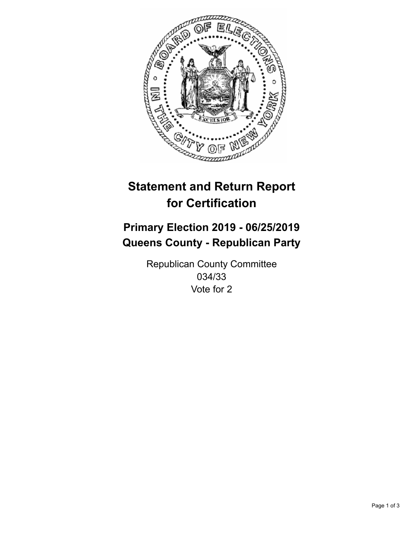

## **Statement and Return Report for Certification**

## **Primary Election 2019 - 06/25/2019 Queens County - Republican Party**

Republican County Committee 034/33 Vote for 2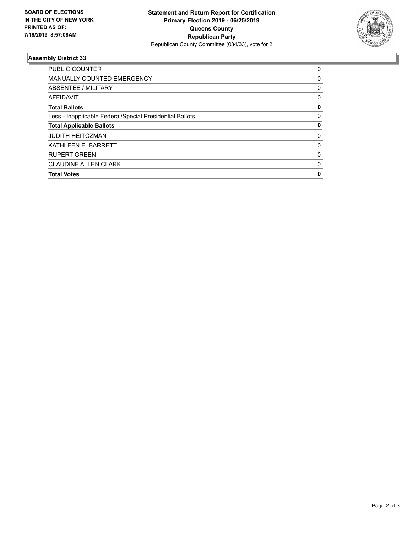

## **Assembly District 33**

| <b>PUBLIC COUNTER</b>                                    | 0 |
|----------------------------------------------------------|---|
| <b>MANUALLY COUNTED EMERGENCY</b>                        | 0 |
| ABSENTEE / MILITARY                                      | 0 |
| <b>AFFIDAVIT</b>                                         | 0 |
| <b>Total Ballots</b>                                     | 0 |
| Less - Inapplicable Federal/Special Presidential Ballots | 0 |
| <b>Total Applicable Ballots</b>                          | 0 |
| <b>JUDITH HEITCZMAN</b>                                  | 0 |
| KATHLEEN E. BARRETT                                      | 0 |
| <b>RUPERT GREEN</b>                                      | 0 |
| <b>CLAUDINE ALLEN CLARK</b>                              | 0 |
| <b>Total Votes</b>                                       | 0 |